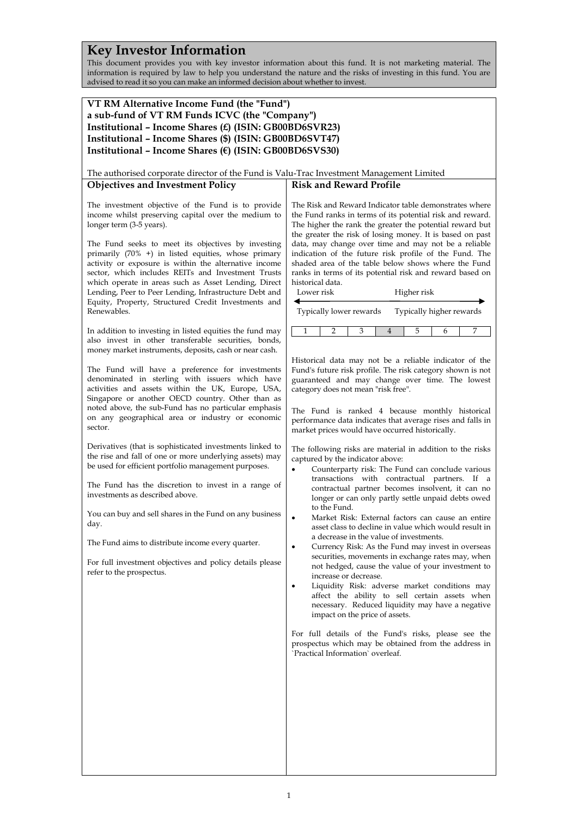# **Key Investor Information**

This document provides you with key investor information about this fund. It is not marketing material. The information is required by law to help you understand the nature and the risks of investing in this fund. You are advised to read it so you can make an informed decision about whether to invest.

# **VT RM Alternative Income Fund (the "Fund") a sub-fund of VT RM Funds ICVC (the "Company") Institutional – Income Shares (£) (ISIN: GB00BD6SVR23) Institutional – Income Shares (\$) (ISIN: GB00BD6SVT47) Institutional – Income Shares (€) (ISIN: GB00BD6SVS30)**

The authorised corporate director of the Fund is Valu-Trac Investment Management Limited

## **Objectives and Investment Policy**

The investment objective of the Fund is to provide income whilst preserving capital over the medium to longer term (3-5 years).

The Fund seeks to meet its objectives by investing primarily (70% +) in listed equities, whose primary activity or exposure is within the alternative income sector, which includes REITs and Investment Trusts which operate in areas such as Asset Lending, Direct Lending, Peer to Peer Lending, Infrastructure Debt and Equity, Property, Structured Credit Investments and Renewables.

In addition to investing in listed equities the fund may also invest in other transferable securities, bonds, money market instruments, deposits, cash or near cash.

The Fund will have a preference for investments denominated in sterling with issuers which have activities and assets within the UK, Europe, USA, Singapore or another OECD country. Other than as noted above, the sub-Fund has no particular emphasis on any geographical area or industry or economic sector.

Derivatives (that is sophisticated investments linked to the rise and fall of one or more underlying assets) may be used for efficient portfolio management purposes.

The Fund has the discretion to invest in a range of investments as described above.

You can buy and sell shares in the Fund on any business day.

The Fund aims to distribute income every quarter.

For full investment objectives and policy details please refer to the prospectus.

The Risk and Reward Indicator table demonstrates where the Fund ranks in terms of its potential risk and reward. The higher the rank the greater the potential reward but the greater the risk of losing money. It is based on past data, may change over time and may not be a reliable indication of the future risk profile of the Fund. The shaded area of the table below shows where the Fund ranks in terms of its potential risk and reward based on historical data.

**Risk and Reward Profile**

| Lower risk              | Higher risk              |
|-------------------------|--------------------------|
| Typically lower rewards | Typically higher rewards |

1 2 3 4 5 6 7

Historical data may not be a reliable indicator of the Fund's future risk profile. The risk category shown is not guaranteed and may change over time. The lowest category does not mean "risk free".

The Fund is ranked 4 because monthly historical performance data indicates that average rises and falls in market prices would have occurred historically.

The following risks are material in addition to the risks captured by the indicator above:

- Counterparty risk: The Fund can conclude various transactions with contractual partners. If a contractual partner becomes insolvent, it can no longer or can only partly settle unpaid debts owed to the Fund.
- Market Risk: External factors can cause an entire asset class to decline in value which would result in a decrease in the value of investments.
- Currency Risk: As the Fund may invest in overseas securities, movements in exchange rates may, when not hedged, cause the value of your investment to increase or decrease.
- Liquidity Risk: adverse market conditions may affect the ability to sell certain assets when necessary. Reduced liquidity may have a negative impact on the price of assets.

For full details of the Fund's risks, please see the prospectus which may be obtained from the address in `Practical Information` overleaf.